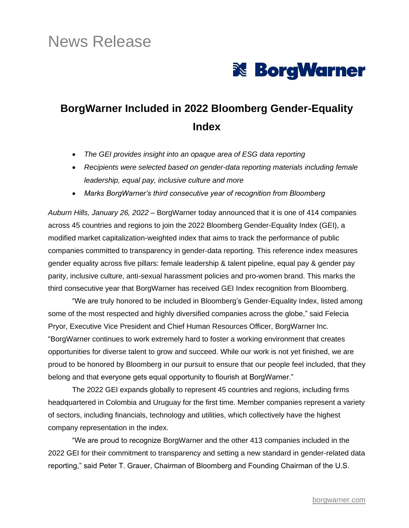# News Release



## **BorgWarner Included in 2022 Bloomberg Gender-Equality Index**

- *The GEI provides insight into an opaque area of ESG data reporting*
- *Recipients were selected based on gender-data reporting materials including female leadership, equal pay, inclusive culture and more*
- *Marks BorgWarner's third consecutive year of recognition from Bloomberg*

*Auburn Hills, January 26, 2022* – BorgWarner today announced that it is one of 414 companies across 45 countries and regions to join the 2022 Bloomberg Gender-Equality Index (GEI), a modified market capitalization-weighted index that aims to track the performance of public companies committed to transparency in gender-data reporting. This reference index measures gender equality across five pillars: female leadership & talent pipeline, equal pay & gender pay parity, inclusive culture, anti-sexual harassment policies and pro-women brand. This marks the third consecutive year that BorgWarner has received GEI Index recognition from Bloomberg.

"We are truly honored to be included in Bloomberg's Gender-Equality Index, listed among some of the most respected and highly diversified companies across the globe," said Felecia Pryor, Executive Vice President and Chief Human Resources Officer, BorgWarner Inc. "BorgWarner continues to work extremely hard to foster a working environment that creates opportunities for diverse talent to grow and succeed. While our work is not yet finished, we are proud to be honored by Bloomberg in our pursuit to ensure that our people feel included, that they belong and that everyone gets equal opportunity to flourish at BorgWarner."

The 2022 GEI expands globally to represent 45 countries and regions, including firms headquartered in Colombia and Uruguay for the first time. Member companies represent a variety of sectors, including financials, technology and utilities, which collectively have the highest company representation in the index.

"We are proud to recognize BorgWarner and the other 413 companies included in the 2022 GEI for their commitment to transparency and setting a new standard in gender-related data reporting," said Peter T. Grauer, Chairman of Bloomberg and Founding Chairman of the U.S.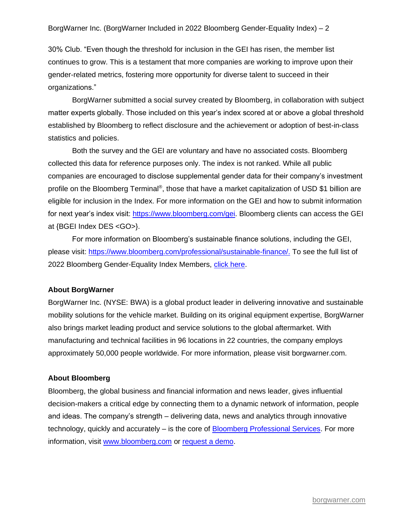#### BorgWarner Inc. (BorgWarner Included in 2022 Bloomberg Gender-Equality Index) – 2

30% Club. "Even though the threshold for inclusion in the GEI has risen, the member list continues to grow. This is a testament that more companies are working to improve upon their gender-related metrics, fostering more opportunity for diverse talent to succeed in their organizations."

BorgWarner submitted a social survey created by Bloomberg, in collaboration with subject matter experts globally. Those included on this year's index scored at or above a global threshold established by Bloomberg to reflect disclosure and the achievement or adoption of best-in-class statistics and policies.

Both the survey and the GEI are voluntary and have no associated costs. Bloomberg collected this data for reference purposes only. The index is not ranked. While all public companies are encouraged to disclose supplemental gender data for their company's investment profile on the Bloomberg Terminal®, those that have a market capitalization of USD \$1 billion are eligible for inclusion in the Index. For more information on the GEI and how to submit information for next year's index visit: [https://www.bloomberg.com/gei.](https://www.bloomberg.com/gei) Bloomberg clients can access the GEI at {BGEI Index DES <GO>}.

For more information on Bloomberg's sustainable finance solutions, including the GEI, please visit: [https://www.bloomberg.com/professional/sustainable-finance/.](https://www.bloomberg.com/professional/sustainable-finance/) To see the full list of 2022 Bloomberg Gender-Equality Index Members, [click here.](https://www.bloomberg.com/gei/resources/)

#### **About BorgWarner**

BorgWarner Inc. (NYSE: BWA) is a global product leader in delivering innovative and sustainable mobility solutions for the vehicle market. Building on its original equipment expertise, BorgWarner also brings market leading product and service solutions to the global aftermarket. With manufacturing and technical facilities in 96 locations in 22 countries, the company employs approximately 50,000 people worldwide. For more information, please visit borgwarner.com.

#### **About Bloomberg**

Bloomberg, the global business and financial information and news leader, gives influential decision-makers a critical edge by connecting them to a dynamic network of information, people and ideas. The company's strength – delivering data, news and analytics through innovative technology, quickly and accurately – is the core of [Bloomberg Professional Services.](https://www.bloomberg.com/professional/) For more information, visit [www.bloomberg.com](http://www.bloomberg.com/) or [request a demo.](https://www.bloomberg.com/professional/request-demo/?utm_source=bbg-pr&bbgsum=dg-ws-core-pr)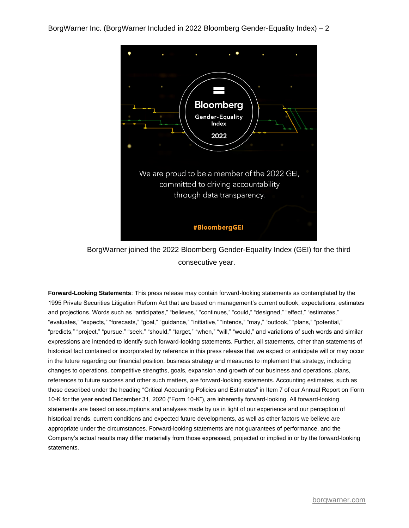

### BorgWarner joined the 2022 Bloomberg Gender-Equality Index (GEI) for the third consecutive year.

**Forward-Looking Statements**: This press release may contain forward-looking statements as contemplated by the 1995 Private Securities Litigation Reform Act that are based on management's current outlook, expectations, estimates and projections. Words such as "anticipates," "believes," "continues," "could," "designed," "effect," "estimates," "evaluates," "expects," "forecasts," "goal," "guidance," "initiative," "intends," "may," "outlook," "plans," "potential," "predicts," "project," "pursue," "seek," "should," "target," "when," "will," "would," and variations of such words and similar expressions are intended to identify such forward-looking statements. Further, all statements, other than statements of historical fact contained or incorporated by reference in this press release that we expect or anticipate will or may occur in the future regarding our financial position, business strategy and measures to implement that strategy, including changes to operations, competitive strengths, goals, expansion and growth of our business and operations, plans, references to future success and other such matters, are forward-looking statements. Accounting estimates, such as those described under the heading "Critical Accounting Policies and Estimates" in Item 7 of our Annual Report on Form 10-K for the year ended December 31, 2020 ("Form 10-K"), are inherently forward-looking. All forward-looking statements are based on assumptions and analyses made by us in light of our experience and our perception of historical trends, current conditions and expected future developments, as well as other factors we believe are appropriate under the circumstances. Forward-looking statements are not guarantees of performance, and the Company's actual results may differ materially from those expressed, projected or implied in or by the forward-looking statements.